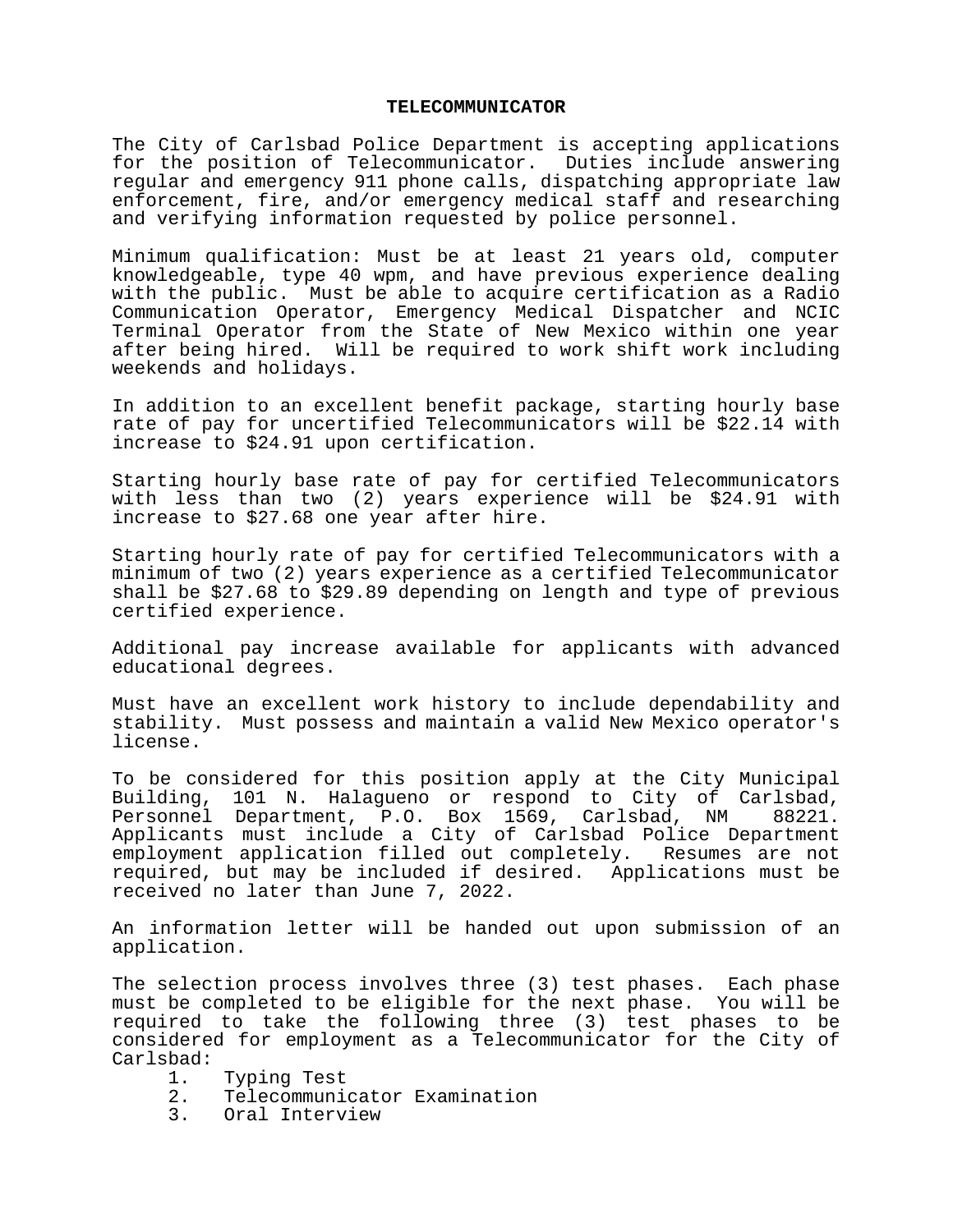## **TELECOMMUNICATOR**

The City of Carlsbad Police Department is accepting applications for the position of Telecommunicator. Duties include answering regular and emergency 911 phone calls, dispatching appropriate law enforcement, fire, and/or emergency medical staff and researching and verifying information requested by police personnel.

Minimum qualification: Must be at least 21 years old, computer knowledgeable, type 40 wpm, and have previous experience dealing with the public. Must be able to acquire certification as a Radio Communication Operator, Emergency Medical Dispatcher and NCIC Terminal Operator from the State of New Mexico within one year after being hired. Will be required to work shift work including weekends and holidays.

In addition to an excellent benefit package, starting hourly base rate of pay for uncertified Telecommunicators will be \$22.14 with increase to \$24.91 upon certification.

Starting hourly base rate of pay for certified Telecommunicators with less than two (2) years experience will be \$24.91 with increase to \$27.68 one year after hire.

Starting hourly rate of pay for certified Telecommunicators with a minimum of two (2) years experience as a certified Telecommunicator shall be \$27.68 to \$29.89 depending on length and type of previous certified experience.

Additional pay increase available for applicants with advanced educational degrees.

Must have an excellent work history to include dependability and stability. Must possess and maintain a valid New Mexico operator's license.

To be considered for this position apply at the City Municipal Building, 101 N. Halagueno or respond to City of Carlsbad, Personnel Department, P.O. Box 1569, Carlsbad, NM 88221. Applicants must include a City of Carlsbad Police Department employment application filled out completely. Resumes are not required, but may be included if desired. Applications must be received no later than June 7, 2022.

An information letter will be handed out upon submission of an application.

The selection process involves three (3) test phases. Each phase must be completed to be eligible for the next phase. You will be required to take the following three (3) test phases to be considered for employment as a Telecommunicator for the City of Carlsbad:

- 1. Typing Test<br>2. Telecommuni
- 2. Telecommunicator Examination<br>3. Oral Interview
- 3. Oral Interview